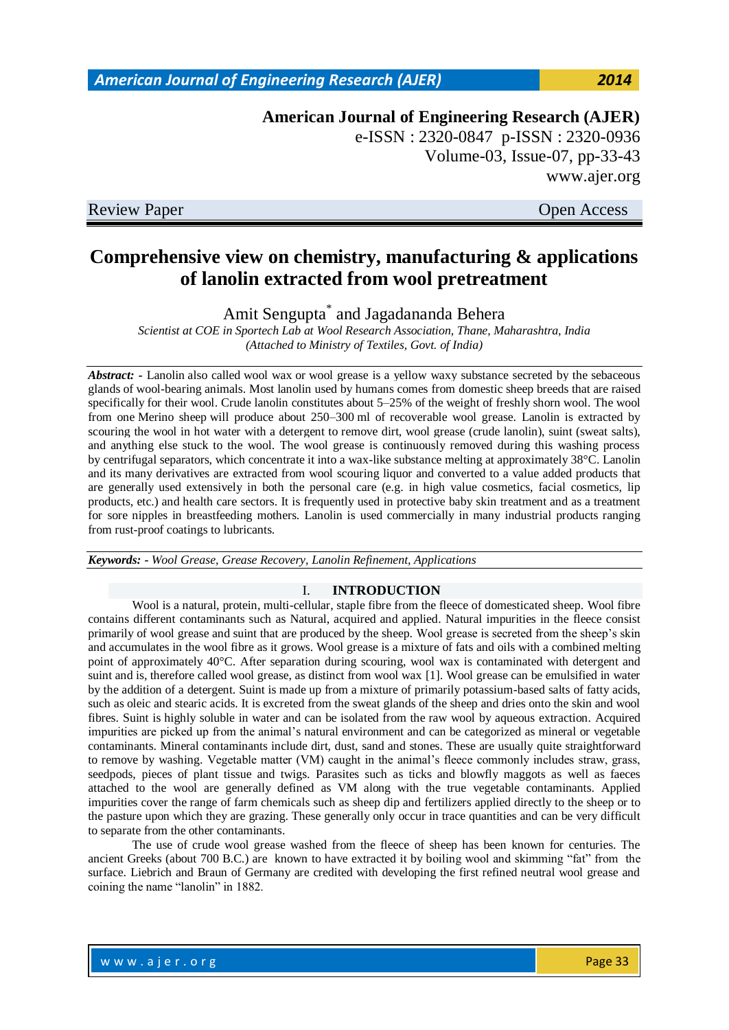## w w w . a jer.org Page 33

*American Journal of Engineering Research (AJER) 2014*

**American Journal of Engineering Research (AJER)** e-ISSN : 2320-0847 p-ISSN : 2320-0936 Volume-03, Issue-07, pp-33-43 www.ajer.org

Review Paper **Open Access** 

# **Comprehensive view on chemistry, manufacturing & applications of lanolin extracted from wool pretreatment**

Amit Sengupta\* and Jagadananda Behera

*Scientist at COE in Sportech Lab at Wool Research Association, Thane, Maharashtra, India (Attached to Ministry of Textiles, Govt. of India)*

*Abstract: -* Lanolin also called wool wax or wool grease is a yellow waxy substance secreted by the [sebaceous](http://en.wikipedia.org/wiki/Sebaceous_gland)  [glands](http://en.wikipedia.org/wiki/Sebaceous_gland) of [wool-bearing](http://en.wikipedia.org/wiki/Wool) animals. Most lanolin used by humans comes from [domestic sheep](http://en.wikipedia.org/wiki/Domestic_sheep) [breeds](http://en.wikipedia.org/wiki/Domestic_sheep#Breeds) that are raised specifically for their wool. Crude lanolin constitutes about 5–25% of the weight of freshly shorn wool. The wool from one [Merino sheep](http://en.wikipedia.org/wiki/Merino_sheep) will produce about 250–300 ml of recoverable wool grease. Lanolin is extracted by scouring the wool in hot water with a detergent to remove dirt, wool grease (crude lanolin), suint (sweat salts), and anything else stuck to the wool. The wool grease is continuously removed during this washing process by [centrifugal](http://en.wikipedia.org/wiki/Centrifuge) separators, which concentrate it into a wax-like substance melting at approximately 38°C. Lanolin and its many derivatives are extracted from wool scouring liquor and converted to a value added products that are generally used extensively in both the personal care (e.g. in high value cosmetics, facial cosmetics, lip products, etc.) and health care sectors. It is frequently used in protective baby skin treatment and as a treatment for sore nipples in breastfeeding mothers. Lanolin is used commercially in many industrial products ranging from [rust-](http://en.wikipedia.org/wiki/Rust)proof coatings to [lubricants.](http://en.wikipedia.org/wiki/Lubricant)

*Keywords:* **-** *Wool Grease, Grease Recovery, Lanolin Refinement, Applications*

## I. **INTRODUCTION**

Wool is a natural, protein, multi-cellular, staple fibre from the fleece of domesticated sheep. Wool fibre contains different contaminants such as Natural, acquired and applied. Natural impurities in the fleece consist primarily of wool grease and suint that are produced by the sheep. Wool grease is secreted from the sheep"s skin and accumulates in the wool fibre as it grows. Wool grease is a mixture of fats and oils with a combined melting point of approximately 40°C. After separation during scouring, wool wax is contaminated with detergent and suint and is, therefore called wool grease, as distinct from wool wax [1]. Wool grease can be emulsified in water by the addition of a detergent. Suint is made up from a mixture of primarily potassium-based salts of fatty acids, such as oleic and stearic acids. It is excreted from the sweat glands of the sheep and dries onto the skin and wool fibres. Suint is highly soluble in water and can be isolated from the raw wool by aqueous extraction. Acquired impurities are picked up from the animal"s natural environment and can be categorized as mineral or vegetable contaminants. Mineral contaminants include dirt, dust, sand and stones. These are usually quite straightforward to remove by washing. Vegetable matter (VM) caught in the animal"s fleece commonly includes straw, grass, seedpods, pieces of plant tissue and twigs. Parasites such as ticks and blowfly maggots as well as faeces attached to the wool are generally defined as VM along with the true vegetable contaminants. Applied impurities cover the range of farm chemicals such as sheep dip and fertilizers applied directly to the sheep or to the pasture upon which they are grazing. These generally only occur in trace quantities and can be very difficult to separate from the other contaminants.

The use of crude wool grease washed from the fleece of sheep has been known for centuries. The ancient Greeks (about 700 B.C.) are known to have extracted it by boiling wool and skimming "fat" from the surface. Liebrich and Braun of Germany are credited with developing the first refined neutral wool grease and coining the name "lanolin" in 1882.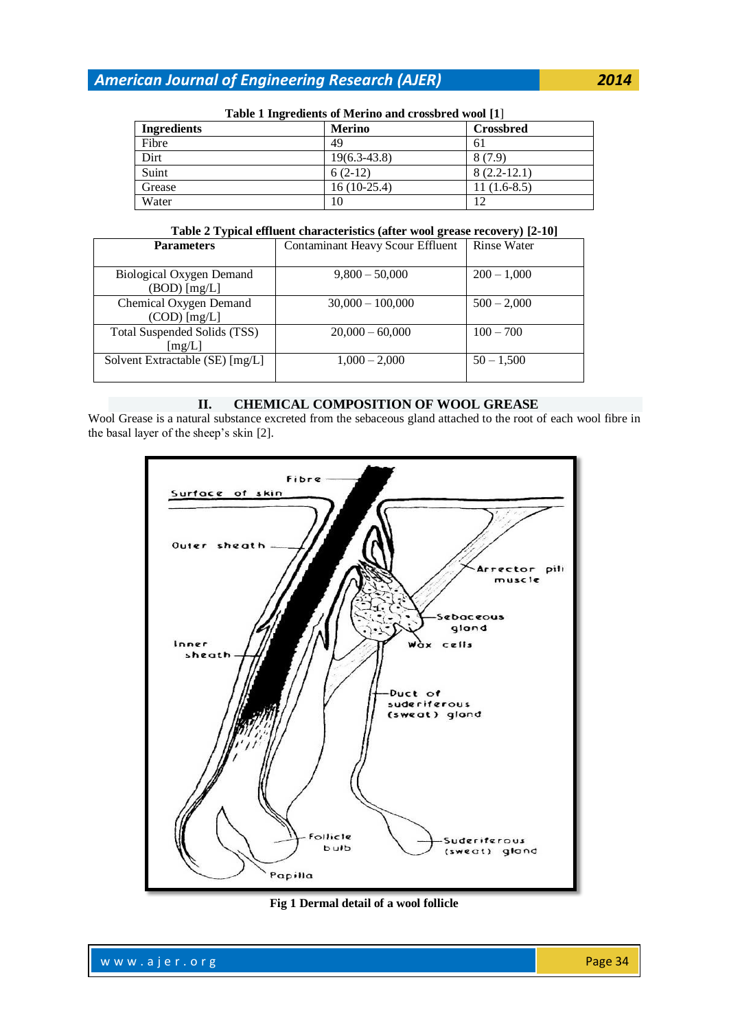| <b>Table 1 mgi culcius of ivici mo and crossiticum woul</b> [1] |                |                  |  |
|-----------------------------------------------------------------|----------------|------------------|--|
| <b>Ingredients</b>                                              | <b>Merino</b>  | <b>Crossbred</b> |  |
| Fibre                                                           | 49             | 61               |  |
| Dirt                                                            | $19(6.3-43.8)$ | 8(7.9)           |  |
| Suint                                                           | $6(2-12)$      | $8(2.2-12.1)$    |  |
| Grease                                                          | $16(10-25.4)$  | $11(1.6-8.5)$    |  |
| Water                                                           | 10             | 12               |  |

## **Table 1 Ingredients of Merino and crossbred wool [1**]

**Table 2 Typical effluent characteristics (after wool grease recovery) [2-10]**

| <b>Parameters</b>                        | <b>Contaminant Heavy Scour Effluent</b> | <b>Rinse Water</b> |
|------------------------------------------|-----------------------------------------|--------------------|
| Biological Oxygen Demand                 | $9,800 - 50,000$                        | $200 - 1,000$      |
| $(BOD)$ [mg/L]                           |                                         |                    |
| Chemical Oxygen Demand<br>$(COD)$ [mg/L] | $30,000 - 100,000$                      | $500 - 2,000$      |
| Total Suspended Solids (TSS)<br>[mg/L]   | $20,000 - 60,000$                       | $100 - 700$        |
| Solvent Extractable (SE) [mg/L]          | $1,000 - 2,000$                         | $50 - 1,500$       |

## **II. CHEMICAL COMPOSITION OF WOOL GREASE**

Wool Grease is a natural substance excreted from the sebaceous gland attached to the root of each wool fibre in the basal layer of the sheep's skin [2].



**Fig 1 Dermal detail of a wool follicle**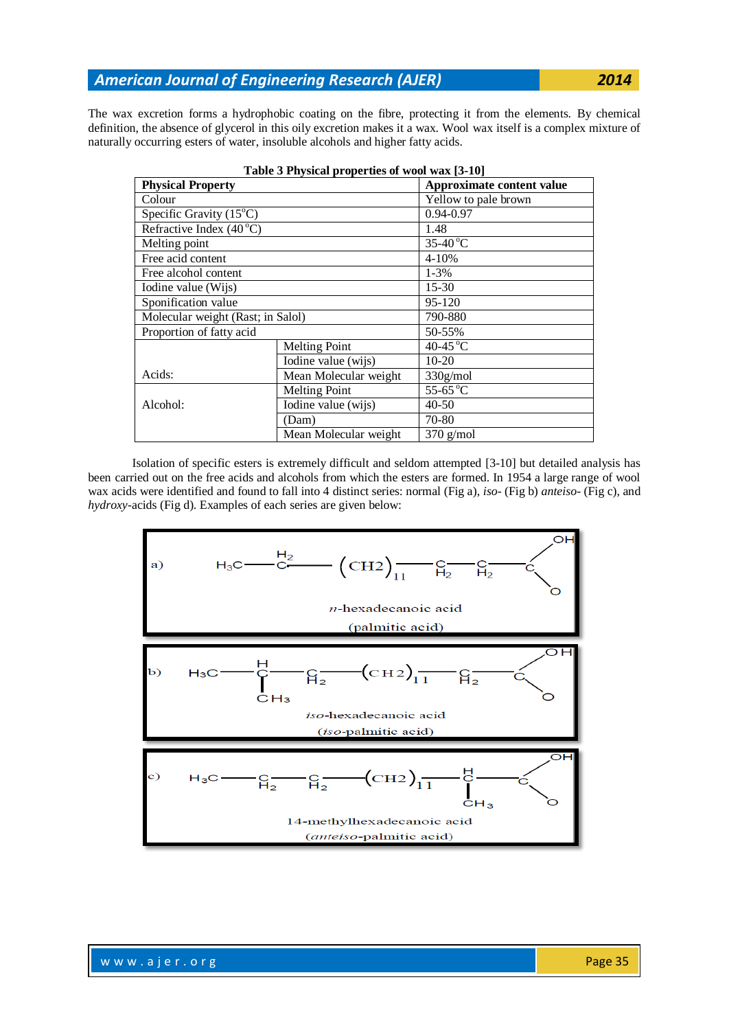The wax excretion forms a hydrophobic coating on the fibre, protecting it from the elements. By chemical definition, the absence of glycerol in this oily excretion makes it a wax. Wool wax itself is a complex mixture of naturally occurring esters of water, insoluble alcohols and higher fatty acids.

| Table 3 Physical properties of wool wax [3-10] |                       |                           |  |  |  |
|------------------------------------------------|-----------------------|---------------------------|--|--|--|
| <b>Physical Property</b>                       |                       | Approximate content value |  |  |  |
| Colour                                         |                       | Yellow to pale brown      |  |  |  |
| Specific Gravity $(15^{\circ}C)$               |                       | 0.94-0.97                 |  |  |  |
| Refractive Index $(40^{\circ}C)$               |                       | 1.48                      |  |  |  |
| Melting point                                  |                       | $35-40^{\circ}$ C         |  |  |  |
| Free acid content                              |                       | $4 - 10%$                 |  |  |  |
| Free alcohol content                           |                       | $1 - 3\%$                 |  |  |  |
| Iodine value (Wijs)                            |                       | $15 - 30$                 |  |  |  |
| Sponification value                            |                       | 95-120                    |  |  |  |
| Molecular weight (Rast; in Salol)              |                       | 790-880                   |  |  |  |
| Proportion of fatty acid                       |                       | 50-55%                    |  |  |  |
|                                                | <b>Melting Point</b>  | 40-45 °C                  |  |  |  |
|                                                | Iodine value (wijs)   | $10-20$                   |  |  |  |
| Acids:                                         | Mean Molecular weight | 330g/mol                  |  |  |  |
|                                                | <b>Melting Point</b>  | 55-65 °C                  |  |  |  |
| Alcohol:                                       | Iodine value (wijs)   | $40 - 50$                 |  |  |  |
|                                                | (Dam)                 | 70-80                     |  |  |  |
|                                                | Mean Molecular weight | $370$ g/mol               |  |  |  |

Isolation of specific esters is extremely difficult and seldom attempted [3-10] but detailed analysis has been carried out on the free acids and alcohols from which the esters are formed. In 1954 a large range of wool wax acids were identified and found to fall into 4 distinct series: normal (Fig a), *iso*- (Fig b) *anteiso*- (Fig c), and *hydroxy*-acids (Fig d). Examples of each series are given below:

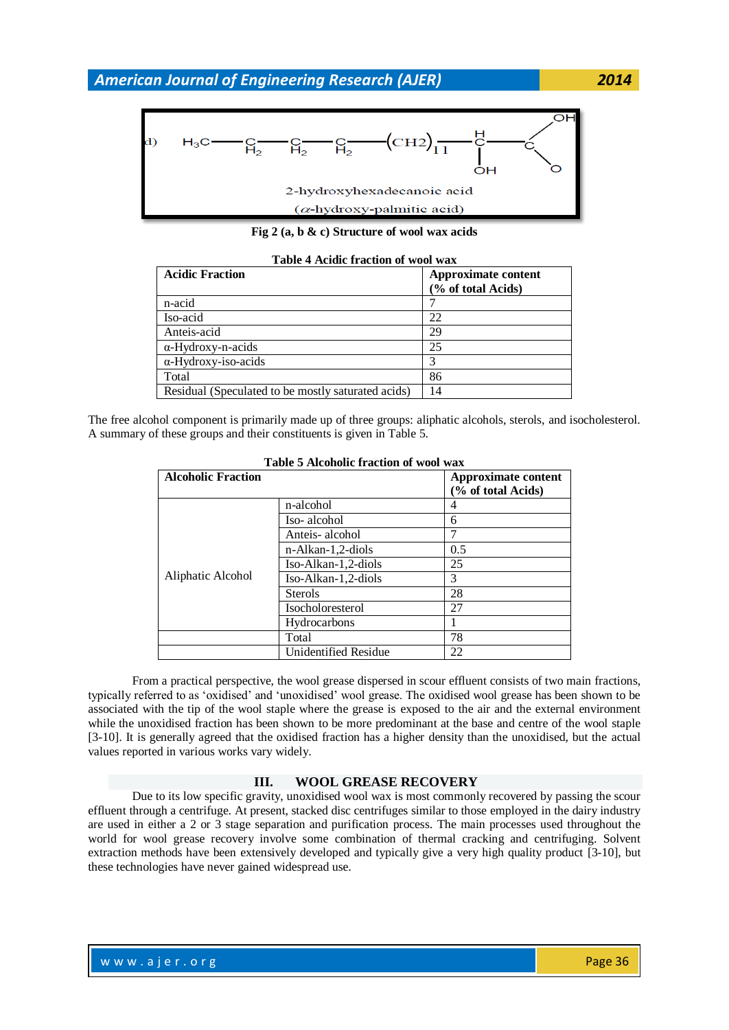

**Fig 2 (a, b & c) Structure of wool wax acids**

| Table T Acidie Hacubii of wool waa                 |                                           |  |  |
|----------------------------------------------------|-------------------------------------------|--|--|
| <b>Acidic Fraction</b>                             | Approximate content<br>(% of total Acids) |  |  |
| n-acid                                             |                                           |  |  |
| Iso-acid                                           | 22                                        |  |  |
| Anteis-acid                                        | 29                                        |  |  |
| $\alpha$ -Hydroxy-n-acids                          | 25                                        |  |  |
| $\alpha$ -Hydroxy-iso-acids                        | 3                                         |  |  |
| Total                                              | 86                                        |  |  |
| Residual (Speculated to be mostly saturated acids) | 14                                        |  |  |

**Table 4 Acidic fraction of wool wax**

The free alcohol component is primarily made up of three groups: aliphatic alcohols, sterols, and isocholesterol. A summary of these groups and their constituents is given in Table 5.

| Table 3 Alcoholic II action of wool wax |                                                  |     |  |
|-----------------------------------------|--------------------------------------------------|-----|--|
| <b>Alcoholic Fraction</b>               | <b>Approximate content</b><br>(% of total Acids) |     |  |
|                                         | n-alcohol                                        | 4   |  |
| Aliphatic Alcohol                       | Iso-alcohol                                      | 6   |  |
|                                         | Anteis-alcohol                                   | 7   |  |
|                                         | n-Alkan-1,2-diols                                | 0.5 |  |
|                                         | Iso-Alkan-1,2-diols                              | 25  |  |
|                                         | Iso-Alkan-1,2-diols                              | 3   |  |
|                                         | <b>Sterols</b>                                   | 28  |  |
|                                         | Isocholoresterol                                 | 27  |  |
|                                         | Hydrocarbons                                     |     |  |
|                                         | Total                                            | 78  |  |
|                                         | <b>Unidentified Residue</b>                      | 22  |  |

| Table 5 Alcoholic fraction of wool wax |  |  |
|----------------------------------------|--|--|
|                                        |  |  |

From a practical perspective, the wool grease dispersed in scour effluent consists of two main fractions, typically referred to as "oxidised" and "unoxidised" wool grease. The oxidised wool grease has been shown to be associated with the tip of the wool staple where the grease is exposed to the air and the external environment while the unoxidised fraction has been shown to be more predominant at the base and centre of the wool staple [3-10]. It is generally agreed that the oxidised fraction has a higher density than the unoxidised, but the actual values reported in various works vary widely.

#### **III. WOOL GREASE RECOVERY**

Due to its low specific gravity, unoxidised wool wax is most commonly recovered by passing the scour effluent through a centrifuge. At present, stacked disc centrifuges similar to those employed in the dairy industry are used in either a 2 or 3 stage separation and purification process. The main processes used throughout the world for wool grease recovery involve some combination of thermal cracking and centrifuging. Solvent extraction methods have been extensively developed and typically give a very high quality product [3-10], but these technologies have never gained widespread use.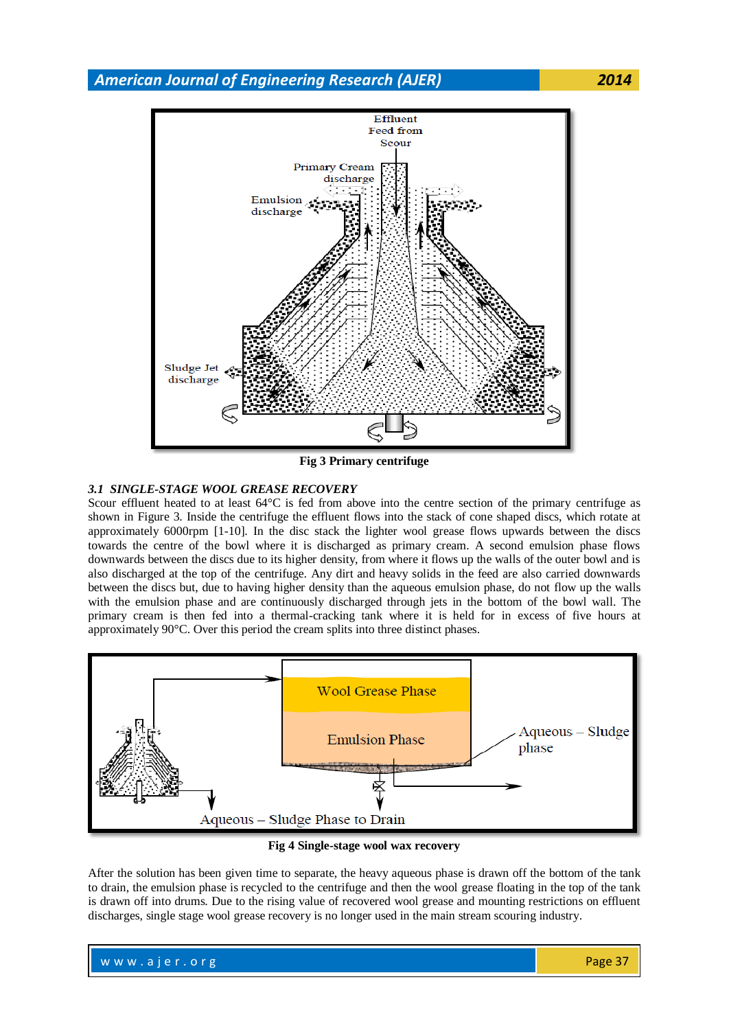

**Fig 3 Primary centrifuge**

## *3.1 SINGLE-STAGE WOOL GREASE RECOVERY*

Scour effluent heated to at least 64°C is fed from above into the centre section of the primary centrifuge as shown in Figure 3. Inside the centrifuge the effluent flows into the stack of cone shaped discs, which rotate at approximately 6000rpm [1-10]. In the disc stack the lighter wool grease flows upwards between the discs towards the centre of the bowl where it is discharged as primary cream. A second emulsion phase flows downwards between the discs due to its higher density, from where it flows up the walls of the outer bowl and is also discharged at the top of the centrifuge. Any dirt and heavy solids in the feed are also carried downwards between the discs but, due to having higher density than the aqueous emulsion phase, do not flow up the walls with the emulsion phase and are continuously discharged through jets in the bottom of the bowl wall. The primary cream is then fed into a thermal-cracking tank where it is held for in excess of five hours at approximately 90°C. Over this period the cream splits into three distinct phases.



**Fig 4 Single-stage wool wax recovery**

After the solution has been given time to separate, the heavy aqueous phase is drawn off the bottom of the tank to drain, the emulsion phase is recycled to the centrifuge and then the wool grease floating in the top of the tank is drawn off into drums. Due to the rising value of recovered wool grease and mounting restrictions on effluent discharges, single stage wool grease recovery is no longer used in the main stream scouring industry.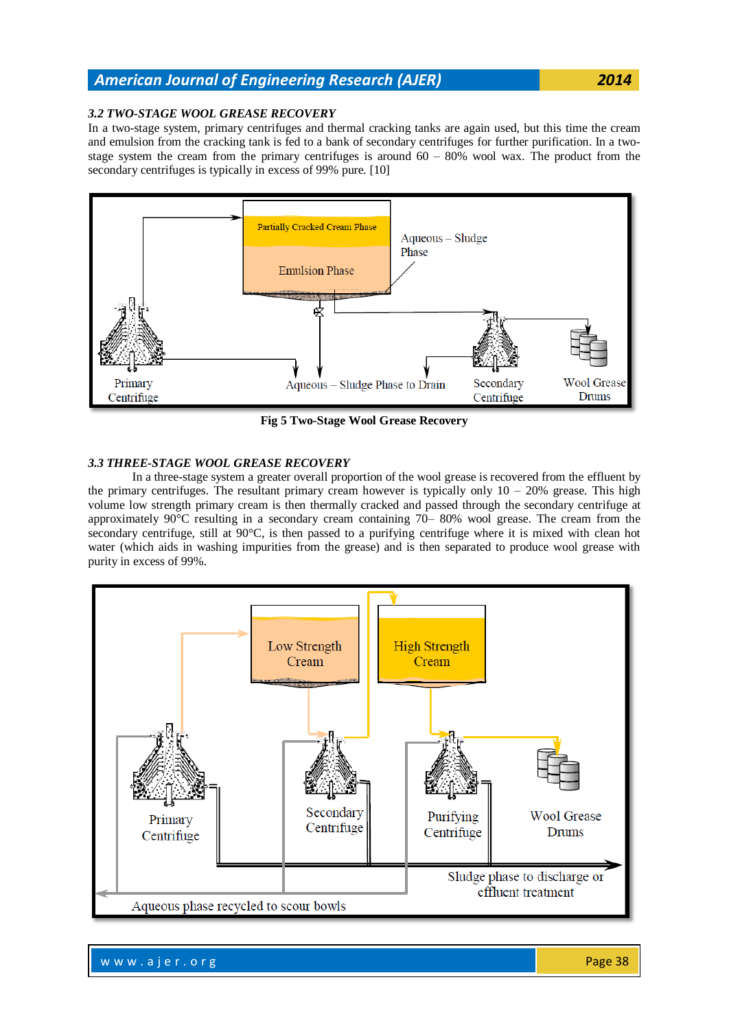## *3.2 TWO-STAGE WOOL GREASE RECOVERY*

In a two-stage system, primary centrifuges and thermal cracking tanks are again used, but this time the cream and emulsion from the cracking tank is fed to a bank of secondary centrifuges for further purification. In a twostage system the cream from the primary centrifuges is around  $60 - 80\%$  wool wax. The product from the secondary centrifuges is typically in excess of 99% pure. [10]



**Fig 5 Two-Stage Wool Grease Recovery**

## *3.3 THREE-STAGE WOOL GREASE RECOVERY*

In a three-stage system a greater overall proportion of the wool grease is recovered from the effluent by the primary centrifuges. The resultant primary cream however is typically only  $10 - 20\%$  grease. This high volume low strength primary cream is then thermally cracked and passed through the secondary centrifuge at approximately 90°C resulting in a secondary cream containing 70– 80% wool grease. The cream from the secondary centrifuge, still at 90°C, is then passed to a purifying centrifuge where it is mixed with clean hot water (which aids in washing impurities from the grease) and is then separated to produce wool grease with purity in excess of 99%.



w w w . a j e r . o r g Page 38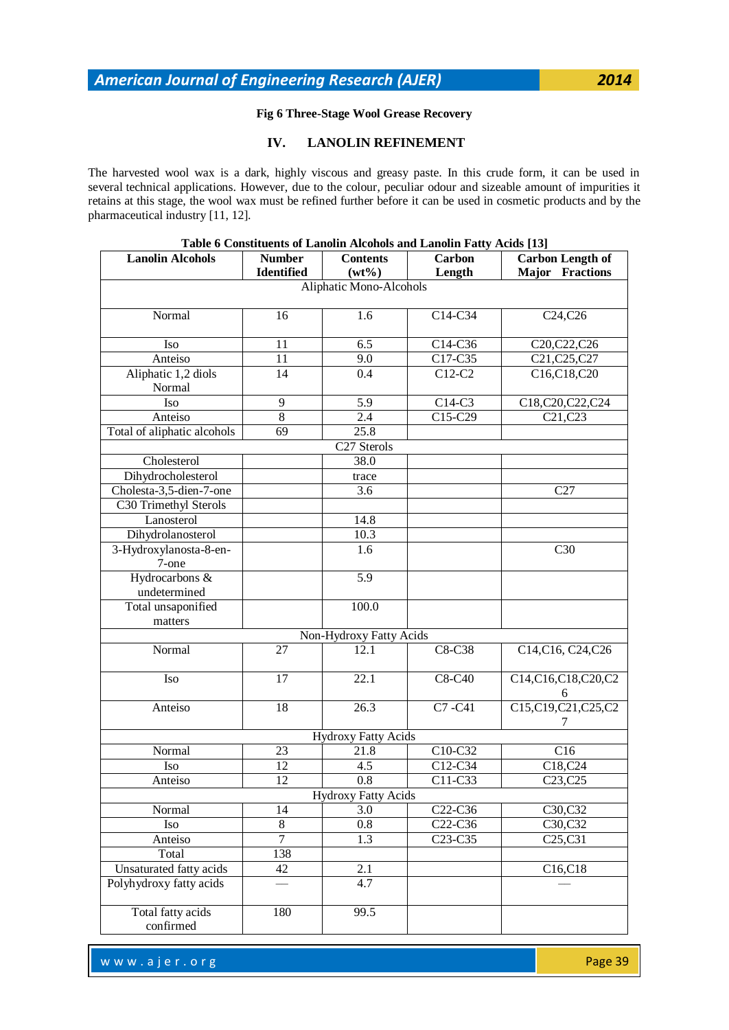## **Fig 6 Three-Stage Wool Grease Recovery**

## **IV. LANOLIN REFINEMENT**

The harvested wool wax is a dark, highly viscous and greasy paste. In this crude form, it can be used in several [technical applications.](http://www.lanolin.com/lanolin-for-industrial-applications.html) However, due to the colour, peculiar odour and sizeable amount of impurities it retains at this stage, the wool wax must be refined further before it can be used in [cosmetic products](http://www.lanolin.com/lanolin-for-personal-care-and-medicine.html) and by the pharmaceutical industry [11, 12].

| Table o Constituents of Eanonn Alcohois and Eanonn Patty Acids [13] |                |                            |                                  |                                   |  |
|---------------------------------------------------------------------|----------------|----------------------------|----------------------------------|-----------------------------------|--|
| <b>Lanolin Alcohols</b>                                             | <b>Number</b>  | <b>Contents</b>            | <b>Carbon</b>                    | <b>Carbon Length of</b>           |  |
|                                                                     | Identified     | $(wt\%)$                   | Length                           | <b>Major</b> Fractions            |  |
|                                                                     |                | Aliphatic Mono-Alcohols    |                                  |                                   |  |
|                                                                     |                |                            |                                  |                                   |  |
| Normal                                                              | 16             | 1.6                        | C14-C34                          | C <sub>24</sub> ,C <sub>26</sub>  |  |
| Iso                                                                 | 11             | 6.5                        | C14-C36                          | C20, C22, C26                     |  |
| Anteiso                                                             | 11             | 9.0                        | C17-C35                          | C21,C25,C27                       |  |
| Aliphatic 1,2 diols                                                 | 14             | 0.4                        | C12-C2                           | C16,C18,C20                       |  |
| Normal                                                              |                |                            |                                  |                                   |  |
| Iso                                                                 | 9              | 5.9                        | C14-C3                           | C18,C20,C22,C24                   |  |
| Anteiso                                                             | 8              | 2.4                        | $C15-C29$                        | $\overline{C}$ 21,C23             |  |
| Total of aliphatic alcohols                                         | 69             | 25.8                       |                                  |                                   |  |
|                                                                     |                | C27 Sterols                |                                  |                                   |  |
| Cholesterol                                                         |                | 38.0                       |                                  |                                   |  |
| Dihydrocholesterol                                                  |                | trace                      |                                  |                                   |  |
| Cholesta-3,5-dien-7-one                                             |                | 3.6                        |                                  | C27                               |  |
| C30 Trimethyl Sterols                                               |                |                            |                                  |                                   |  |
| Lanosterol                                                          |                | 14.8                       |                                  |                                   |  |
| Dihydrolanosterol                                                   |                | 10.3                       |                                  |                                   |  |
| 3-Hydroxylanosta-8-en-                                              |                | 1.6                        |                                  | C30                               |  |
| 7-one                                                               |                |                            |                                  |                                   |  |
| Hydrocarbons &                                                      |                | 5.9                        |                                  |                                   |  |
| undetermined                                                        |                |                            |                                  |                                   |  |
| Total unsaponified                                                  |                | 100.0                      |                                  |                                   |  |
| matters                                                             |                |                            |                                  |                                   |  |
|                                                                     |                | Non-Hydroxy Fatty Acids    |                                  |                                   |  |
| Normal                                                              | 27             | 12.1                       | C8-C38                           | C14, C16, C24, C26                |  |
|                                                                     |                |                            |                                  |                                   |  |
| Iso                                                                 | 17             | 22.1                       | C8-C40                           | C14,C16,C18,C20,C2                |  |
|                                                                     |                |                            |                                  | 6                                 |  |
| Anteiso                                                             | 18             | 26.3                       | C7-C41                           | C15,C19,C21,C25,C2                |  |
|                                                                     |                |                            |                                  | 7                                 |  |
|                                                                     |                | <b>Hydroxy Fatty Acids</b> |                                  |                                   |  |
| Normal                                                              | 23             | 21.8                       | C10-C32                          | C16                               |  |
| Iso                                                                 | 12             | 4.5                        | C12-C34                          | C18,C24                           |  |
| Anteiso                                                             | 12             | 0.8                        | C11-C33                          | C <sub>23</sub> , C <sub>25</sub> |  |
|                                                                     |                | Hydroxy Fatty Acids        |                                  |                                   |  |
| Normal                                                              | 14             | 3.0                        | C22-C36                          | C30,C32                           |  |
| Iso                                                                 | $8\,$          | 0.8                        | C <sub>22</sub> -C <sub>36</sub> | C30,C32                           |  |
| Anteiso                                                             | $\overline{7}$ | 1.3                        | C <sub>23</sub> -C <sub>35</sub> | C <sub>25</sub> ,C <sub>31</sub>  |  |
| Total                                                               | 138            |                            |                                  |                                   |  |
| Unsaturated fatty acids                                             | 42             | 2.1                        |                                  | C <sub>16</sub> ,C <sub>18</sub>  |  |
| Polyhydroxy fatty acids                                             |                | 4.7                        |                                  |                                   |  |
|                                                                     |                |                            |                                  |                                   |  |
| Total fatty acids                                                   | 180            | 99.5                       |                                  |                                   |  |
| confirmed                                                           |                |                            |                                  |                                   |  |

## **Table 6 Constituents of Lanolin Alcohols and Lanolin Fatty Acids [13]**

w w w . a j e r . o r g  $\sim$  200  $\sim$  200  $\sim$  200  $\sim$  200  $\sim$  Page 39  $\sim$  200  $\sim$  200  $\sim$  200  $\sim$  200  $\sim$  200  $\sim$  200  $\sim$  200  $\sim$  200  $\sim$  200  $\sim$  200  $\sim$  200  $\sim$  200  $\sim$  200  $\sim$  200  $\sim$  200  $\sim$  200  $\sim$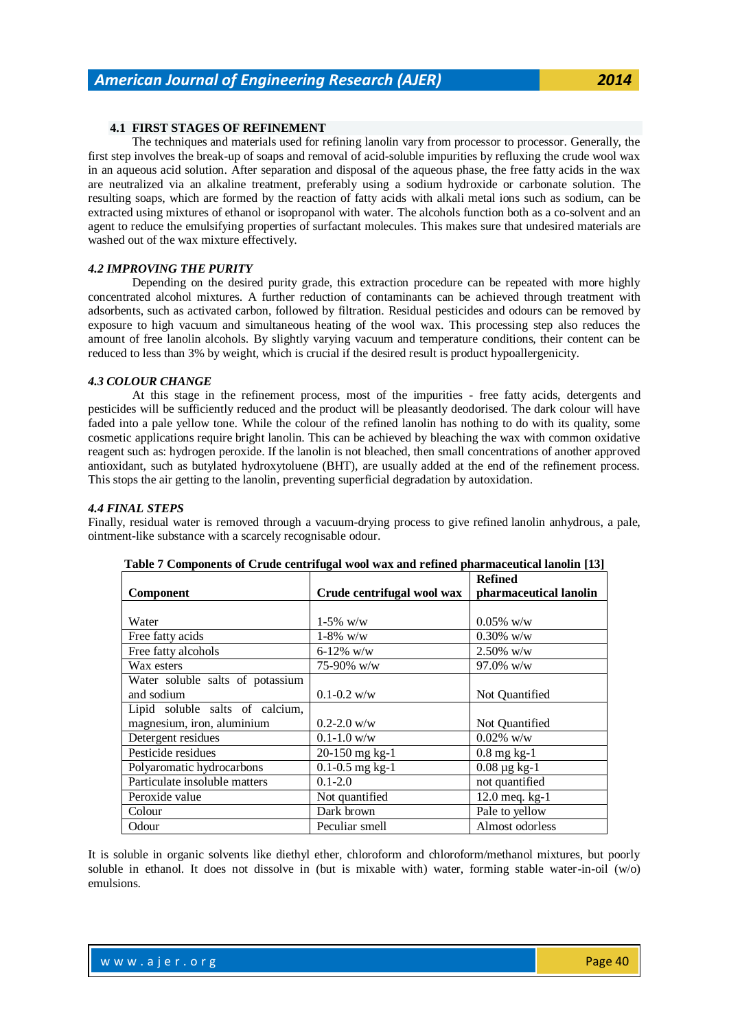## **4.1 FIRST STAGES OF REFINEMENT**

The techniques and materials used for refining lanolin vary from processor to processor. Generally, the first step involves the break-up of soaps and removal of acid-soluble impurities by refluxing the crude wool wax in an aqueous acid solution. After separation and disposal of the aqueous phase, the free fatty acids in the wax are neutralized via an alkaline treatment, preferably using a sodium hydroxide or carbonate solution. The resulting soaps, which are formed by the reaction of fatty acids with alkali metal ions such as sodium, can be extracted using mixtures of ethanol or isopropanol with water. The alcohols function both as a co-solvent and an agent to reduce the emulsifying properties of surfactant molecules. This makes sure that undesired materials are washed out of the wax mixture effectively.

## *4.2 IMPROVING THE PURITY*

Depending on the desired purity grade, this extraction procedure can be repeated with more highly concentrated alcohol mixtures. A further reduction of contaminants can be achieved through treatment with adsorbents, such as activated carbon, followed by filtration. Residual pesticides and odours can be removed by exposure to high vacuum and simultaneous heating of the wool wax. This processing step also reduces the amount of free lanolin alcohols. By slightly varying vacuum and temperature conditions, their content can be reduced to less than 3% by weight, which is crucial if the desired result is product hypoallergenicity.

#### *4.3 COLOUR CHANGE*

At this stage in the refinement process, most of the impurities - free fatty acids, detergents and pesticides will be sufficiently reduced and the product will be pleasantly deodorised. The dark colour will have faded into a pale yellow tone. While the colour of the refined lanolin has nothing to do with its quality, some cosmetic applications require bright lanolin. This can be achieved by bleaching the wax with common oxidative reagent such as: hydrogen peroxide. If the lanolin is not bleached, then small concentrations of another approved antioxidant, such as butylated hydroxytoluene (BHT), are usually added at the end of the refinement process. This stops the air getting to the lanolin, preventing superficial degradation by autoxidation.

#### *4.4 FINAL STEPS*

Finally, residual water is removed through a vacuum-drying process to give refined [lanolin anhydrous,](http://www.lanolin.com/lanolin-for-personal-care-and-medicine/lanolin.html) a pale, ointment-like substance with a scarcely recognisable odour.

|                                  |                            | <b>Refined</b>                           |
|----------------------------------|----------------------------|------------------------------------------|
| <b>Component</b>                 | Crude centrifugal wool wax | pharmaceutical lanolin                   |
|                                  |                            |                                          |
| Water                            | $1-5\%$ w/w                | $0.05\%$ w/w                             |
| Free fatty acids                 | $1-8\%$ w/w                | $0.30\%$ w/w                             |
| Free fatty alcohols              | $6 - 12\%$ w/w             | $2.50\%$ w/w                             |
| Wax esters                       | 75-90% w/w                 | 97.0% w/w                                |
| Water soluble salts of potassium |                            |                                          |
| and sodium                       | $0.1 - 0.2$ w/w            | Not Quantified                           |
| Lipid soluble salts of calcium,  |                            |                                          |
| magnesium, iron, aluminium       | $0.2 - 2.0$ w/w            | Not Quantified                           |
| Detergent residues               | $0.1 - 1.0$ w/w            | $0.02\%$ w/w                             |
| Pesticide residues               | 20-150 mg kg-1             | $0.8$ mg kg-1                            |
| Polyaromatic hydrocarbons        | $0.1 - 0.5$ mg kg-1        | $0.08 \,\mathrm{\mu g} \,\mathrm{kg}$ -1 |
| Particulate insoluble matters    | $0.1 - 2.0$                | not quantified                           |
| Peroxide value                   | Not quantified             | $12.0$ meq. kg-1                         |
| Colour                           | Dark brown                 | Pale to yellow                           |
| Odour                            | Peculiar smell             | Almost odorless                          |

It is soluble in organic solvents like diethyl ether, chloroform and chloroform/methanol mixtures, but poorly soluble in ethanol. It does not dissolve in (but is mixable with) water, forming stable water-in-oil (w/o) emulsions.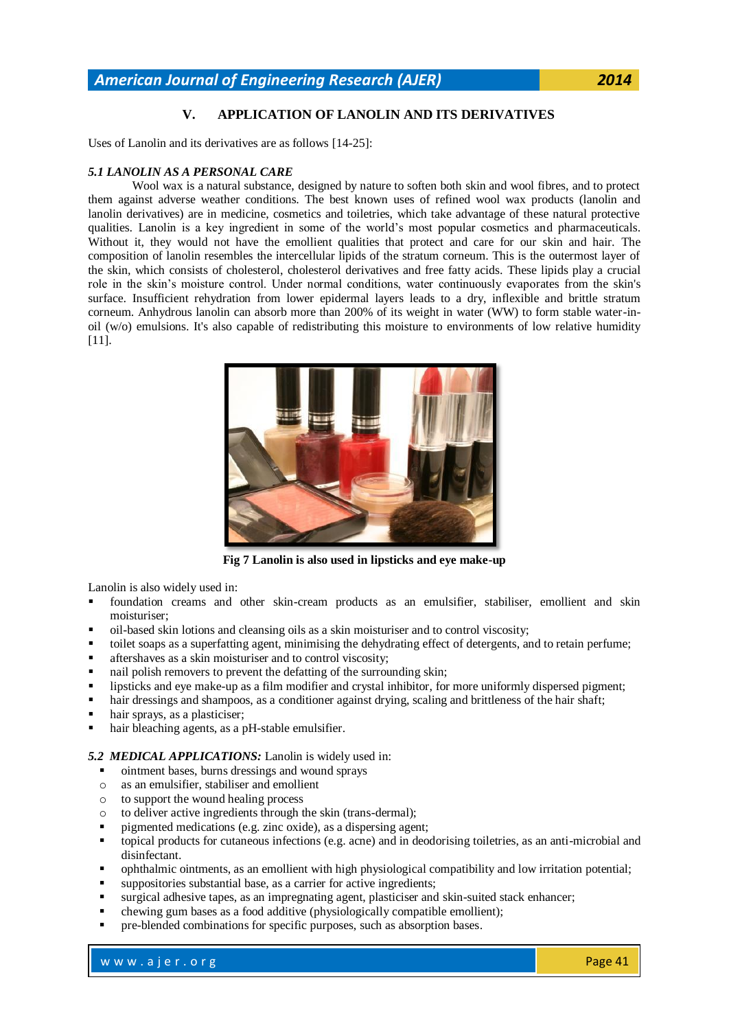## **V. APPLICATION OF LANOLIN AND ITS DERIVATIVES**

Uses of Lanolin and its derivatives are as follows [14-25]:

#### *5.1 LANOLIN AS A PERSONAL CARE*

Wool wax is a [natural substance,](http://www.lanolin.com/lanolin-basics/natural-bio-engineering.html) designed by nature to soften both skin and wool fibres, and to protect them against adverse weather conditions. The best known uses of refined wool wax products (lanolin and lanolin derivatives) are in medicine, cosmetics and toiletries, which take advantage of these natural protective qualities. Lanolin is a key ingredient in some of the world"s most popular cosmetics and pharmaceuticals. Without it, they would not have the emollient qualities that protect and care for our skin and hair. The composition of lanolin resembles the intercellular lipids of the stratum corneum. This is the outermost layer of the skin, which consists of cholesterol, cholesterol derivatives and free fatty acids. These lipids play a crucial role in the skin"s moisture control. Under normal conditions, water continuously evaporates from the skin's surface. Insufficient rehydration from lower epidermal layers leads to a dry, inflexible and brittle stratum corneum. Anhydrous lanolin can absorb more than 200% of its weight in water (WW) to form stable water-inoil (w/o) emulsions. It's also capable of redistributing this moisture to environments of low relative humidity [11].



**Fig 7 Lanolin is also used in lipsticks and eye make-up**

Lanolin is also widely used in:

- foundation creams and other skin-cream products as an emulsifier, stabiliser, emollient and skin moisturiser;
- oil-based skin lotions and cleansing oils as a skin moisturiser and to control viscosity;
- toilet soaps as a superfatting agent, minimising the dehydrating effect of detergents, and to retain perfume;
- aftershaves as a skin moisturiser and to control viscosity;
- nail polish removers to prevent the defatting of the surrounding skin;
- lipsticks and eye make-up as a film modifier and crystal inhibitor, for more uniformly dispersed pigment;
- hair dressings and shampoos, as a conditioner against drying, scaling and brittleness of the hair shaft;
- hair sprays, as a plasticiser;
- hair bleaching agents, as a pH-stable emulsifier.

*5.2 MEDICAL APPLICATIONS:* Lanolin is widely used in:

- $\blacksquare$  ointment bases, burns dressings and wound sprays
- o as an emulsifier, stabiliser and emollient
- o to support the wound healing process
- o to deliver active ingredients through the skin (trans-dermal);
- pigmented medications (e.g. zinc oxide), as a dispersing agent;
- topical products for cutaneous infections (e.g. acne) and in deodorising toiletries, as an anti-microbial and disinfectant.
- ophthalmic ointments, as an emollient with high physiological compatibility and low irritation potential;
- suppositories substantial base, as a carrier for active ingredients;
- surgical adhesive tapes, as an impregnating agent, plasticiser and skin-suited stack enhancer;
- chewing gum bases as a food additive (physiologically compatible emollient);
- pre-blended combinations for specific purposes, such as absorption bases.

w w w . a jer.org Page 41 and the result of the result of the Page 41 and the Page 41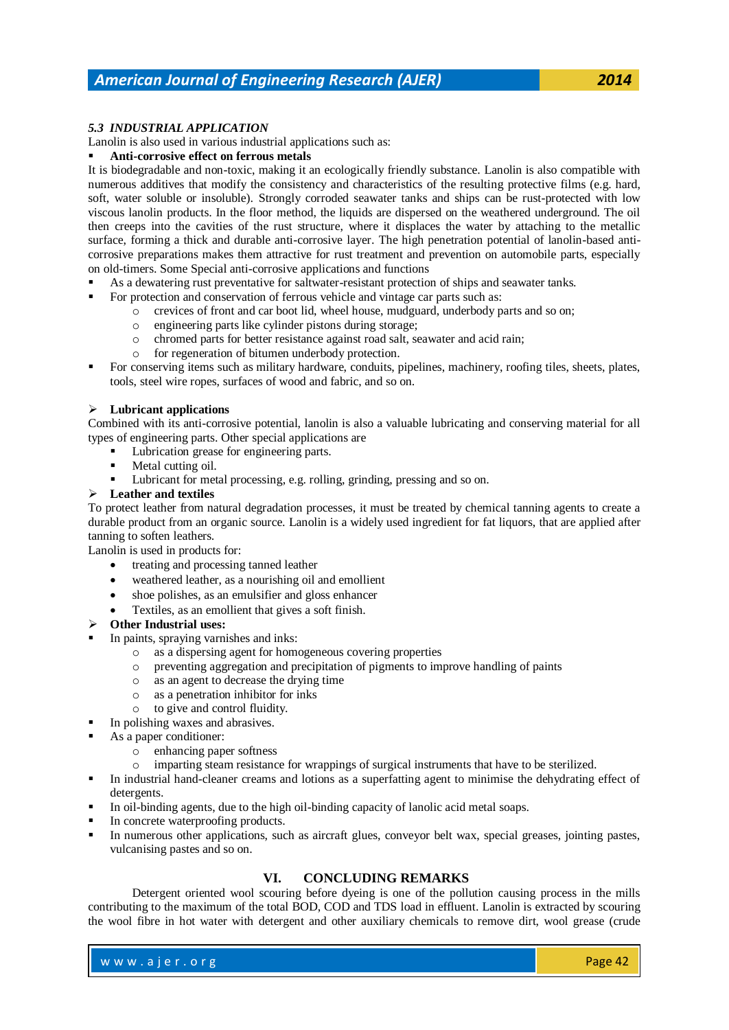## *5.3 INDUSTRIAL APPLICATION*

Lanolin is also used in various industrial applications such as:

#### **Anti-corrosive effect on ferrous metals**

It is biodegradable and non-toxic, making it an ecologically friendly substance. Lanolin is also compatible with numerous additives that modify the consistency and characteristics of the resulting protective films (e.g. hard, soft, water soluble or insoluble). Strongly corroded seawater tanks and ships can be rust-protected with low viscous lanolin products. In the floor method, the liquids are dispersed on the weathered underground. The oil then creeps into the cavities of the rust structure, where it displaces the water by attaching to the metallic surface, forming a thick and durable anti-corrosive layer. The high penetration potential of lanolin-based anticorrosive preparations makes them attractive for rust treatment and prevention on automobile parts, especially on old-timers. Some Special anti-corrosive applications and functions

- As a dewatering rust preventative for saltwater-resistant protection of ships and seawater tanks.
- For protection and conservation of ferrous vehicle and vintage car parts such as:
	- o crevices of front and car boot lid, wheel house, mudguard, underbody parts and so on;
	- o engineering parts like cylinder pistons during storage;
	- o chromed parts for better resistance against road salt, seawater and acid rain;
	- o for regeneration of bitumen underbody protection.
- For conserving items such as military hardware, conduits, pipelines, machinery, roofing tiles, sheets, plates, tools, steel wire ropes, surfaces of wood and fabric, and so on.

#### **Lubricant applications**

Combined with its anti-corrosive potential, lanolin is also a valuable lubricating and conserving material for all types of engineering parts. Other special applications are

- Lubrication grease for engineering parts.
- Metal cutting oil.
- Lubricant for metal processing, e.g. rolling, grinding, pressing and so on.

#### **Leather and textiles**

To protect leather from natural degradation processes, it must be treated by chemical tanning agents to create a durable product from an organic source. Lanolin is a widely used ingredient for fat liquors, that are applied after tanning to soften leathers.

Lanolin is used in products for:

- treating and processing tanned leather
- weathered leather, as a nourishing oil and emollient
- shoe polishes, as an emulsifier and gloss enhancer
- Textiles, as an emollient that gives a soft finish.
- **Other Industrial uses:**
- In paints, spraying varnishes and inks:
	- o as a dispersing agent for homogeneous covering properties
	- o preventing aggregation and precipitation of pigments to improve handling of paints
	- o as an agent to decrease the drying time
	- o as a penetration inhibitor for inks
	- o to give and control fluidity.
	- In polishing waxes and abrasives.
- As a paper conditioner:
	- o enhancing paper softness
	- o imparting steam resistance for wrappings of surgical instruments that have to be sterilized.
- In industrial hand-cleaner creams and lotions as a superfatting agent to minimise the dehydrating effect of detergents.
- In oil-binding agents, due to the high oil-binding capacity of lanolic acid metal soaps.
- In concrete waterproofing products.
- In numerous other applications, such as aircraft glues, conveyor belt wax, special greases, jointing pastes, vulcanising pastes and so on.

## **VI. CONCLUDING REMARKS**

Detergent oriented wool scouring before dyeing is one of the pollution causing process in the mills contributing to the maximum of the total BOD, COD and TDS load in effluent. Lanolin is extracted by scouring the wool fibre in hot water with detergent and other auxiliary chemicals to remove dirt, wool grease (crude

w w w . a jer.org Page 42